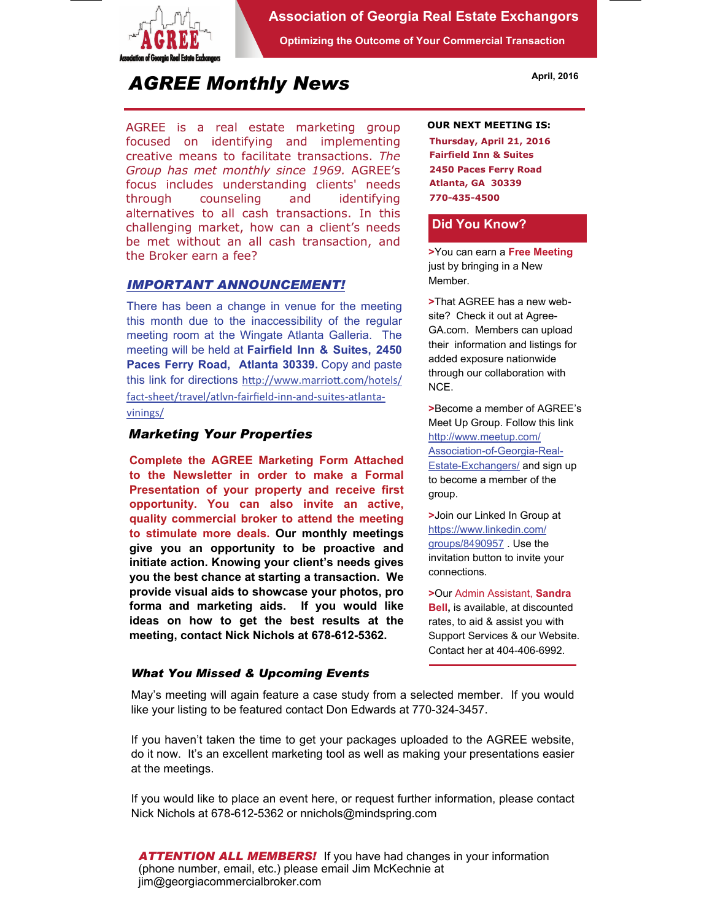

### **Association of Georgia Real Estate Exchangors**

**Optimizing the Outcome of Your Commercial Transaction** 

# *AGREE Monthly News*

AGREE is a real estate marketing group focused on identifying and implementing creative means to facilitate transactions. *The Group has met monthly since 1969.* AGREE's focus includes understanding clients' needs through counseling and identifying alternatives to all cash transactions. In this challenging market, how can a client's needs be met without an all cash transaction, and the Broker earn a fee?

#### *IMPORTANT ANNOUNCEMENT!*

There has been a change in venue for the meeting this month due to the inaccessibility of the regular meeting room at the Wingate Atlanta Galleria. The meeting will be held at **Fairfield Inn & Suites, 2450 Paces Ferry Road, Atlanta 30339.** Copy and paste this link for directions http://www.marriott.com/hotels/ fact‐sheet/travel/atlvn‐fairfield‐inn‐and‐suites‐atlanta‐ vinings/

#### *Marketing Your Properties*

**Complete the AGREE Marketing Form Attached to the Newsletter in order to make a Formal Presentation of your property and receive first opportunity. You can also invite an active, quality commercial broker to attend the meeting to stimulate more deals. Our monthly meetings give you an opportunity to be proactive and initiate action. Knowing your client's needs gives you the best chance at starting a transaction. We provide visual aids to showcase your photos, pro forma and marketing aids. If you would like ideas on how to get the best results at the meeting, contact Nick Nichols at 678-612-5362.** 

#### **OUR NEXT MEETING IS:**

**Thursday, April 21, 2016 Fairfield Inn & Suites 2450 Paces Ferry Road Atlanta, GA 30339 770-435-4500** 

#### **Did You Know?**

**>**You can earn a **Free Meeting**  just by bringing in a New Member.

**>**That AGREE has a new website? Check it out at Agree-GA.com. Members can upload their information and listings for added exposure nationwide through our collaboration with NCE.

**>**Become a member of AGREE's Meet Up Group. Follow this link http://www.meetup.com/ Association-of-Georgia-Real-**Estate-Exchangers/ and sign up** to become a member of the group.

**>**Join our Linked In Group at https://www.linkedin.com/ groups/8490957 . Use the invitation button to invite your connections.

**>**Our Admin Assistant, **Sandra Bell,** is available, at discounted rates, to aid & assist you with Support Services & our Website. Contact her at 404-406-6992.

#### *What You Missed & Upcoming Events*

May's meeting will again feature a case study from a selected member. If you would like your listing to be featured contact Don Edwards at 770-324-3457.

If you haven't taken the time to get your packages uploaded to the AGREE website, do it now. It's an excellent marketing tool as well as making your presentations easier at the meetings.

If you would like to place an event here, or request further information, please contact Nick Nichols at 678-612-5362 or nnichols@mindspring.com

*ATTENTION ALL MEMBERS!* If you have had changes in your information (phone number, email, etc.) please email Jim McKechnie at jim@georgiacommercialbroker.com

#### **April, 2016**